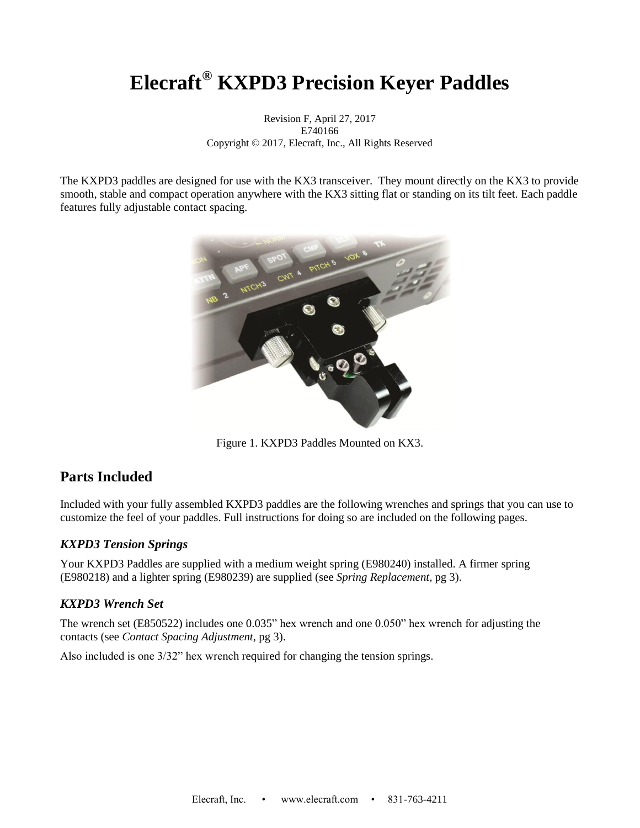# **Elecraft® KXPD3 Precision Keyer Paddles**

Revision F, April 27, 2017 E740166 Copyright © 2017, Elecraft, Inc., All Rights Reserved

The KXPD3 paddles are designed for use with the KX3 transceiver. They mount directly on the KX3 to provide smooth, stable and compact operation anywhere with the KX3 sitting flat or standing on its tilt feet. Each paddle features fully adjustable contact spacing.



Figure 1. KXPD3 Paddles Mounted on KX3.

### **Parts Included**

Included with your fully assembled KXPD3 paddles are the following wrenches and springs that you can use to customize the feel of your paddles. Full instructions for doing so are included on the following pages.

#### *KXPD3 Tension Springs*

Your KXPD3 Paddles are supplied with a medium weight spring (E980240) installed. A firmer spring (E980218) and a lighter spring (E980239) are supplied (see *Spring Replacement*, pg [3\)](#page-2-0).

#### *KXPD3 Wrench Set*

The wrench set (E850522) includes one 0.035" hex wrench and one 0.050" hex wrench for adjusting the contacts (see *Contact Spacing Adjustment*, pg [3\)](#page-1-0).

Also included is one 3/32" hex wrench required for changing the tension springs.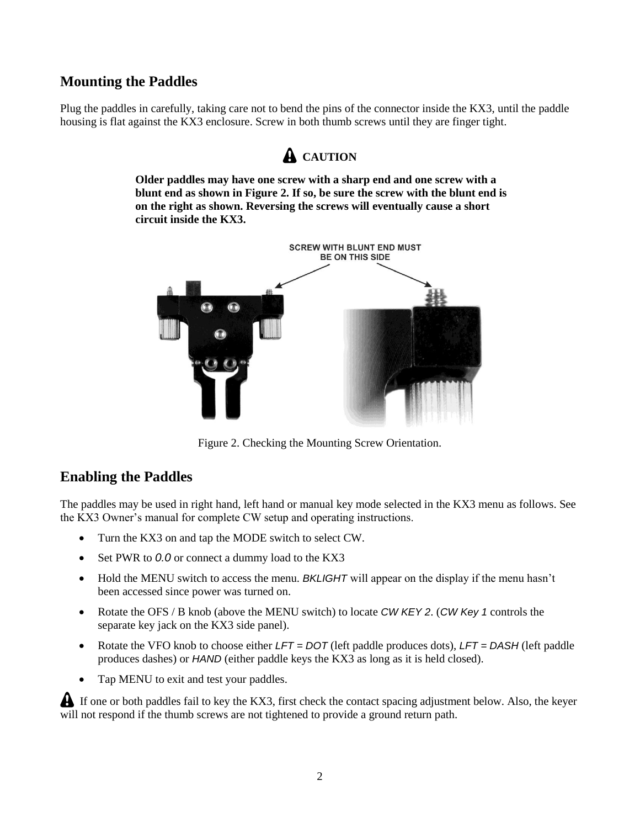### **Mounting the Paddles**

Plug the paddles in carefully, taking care not to bend the pins of the connector inside the KX3, until the paddle housing is flat against the KX3 enclosure. Screw in both thumb screws until they are finger tight.

## **A** CAUTION

**Older paddles may have one screw with a sharp end and one screw with a blunt end as shown in [Figure 2.](#page-1-1) If so, be sure the screw with the blunt end is on the right as shown. Reversing the screws will eventually cause a short circuit inside the KX3.**



Figure 2. Checking the Mounting Screw Orientation.

### <span id="page-1-1"></span>**Enabling the Paddles**

The paddles may be used in right hand, left hand or manual key mode selected in the KX3 menu as follows. See the KX3 Owner's manual for complete CW setup and operating instructions.

- Turn the KX3 on and tap the MODE switch to select CW.
- Set PWR to *0.0* or connect a dummy load to the KX3
- Hold the MENU switch to access the menu. *BKLIGHT* will appear on the display if the menu hasn't been accessed since power was turned on.
- Rotate the OFS / B knob (above the MENU switch) to locate *CW KEY 2*. (*CW Key 1* controls the separate key jack on the KX3 side panel).
- Rotate the VFO knob to choose either *LFT = DOT* (left paddle produces dots), *LFT = DASH* (left paddle produces dashes) or *HAND* (either paddle keys the KX3 as long as it is held closed).
- Tap MENU to exit and test your paddles.

<span id="page-1-0"></span> If one or both paddles fail to key the KX3, first check the contact spacing adjustment below. Also, the keyer will not respond if the thumb screws are not tightened to provide a ground return path.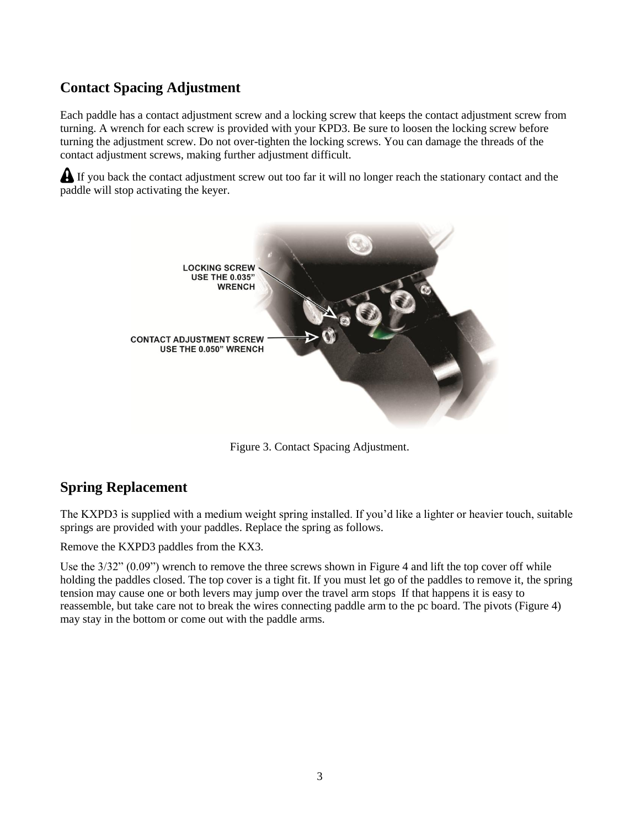## **Contact Spacing Adjustment**

Each paddle has a contact adjustment screw and a locking screw that keeps the contact adjustment screw from turning. A wrench for each screw is provided with your KPD3. Be sure to loosen the locking screw before turning the adjustment screw. Do not over-tighten the locking screws. You can damage the threads of the contact adjustment screws, making further adjustment difficult.

If you back the contact adjustment screw out too far it will no longer reach the stationary contact and the paddle will stop activating the keyer.



Figure 3. Contact Spacing Adjustment.

### <span id="page-2-0"></span>**Spring Replacement**

The KXPD3 is supplied with a medium weight spring installed. If you'd like a lighter or heavier touch, suitable springs are provided with your paddles. Replace the spring as follows.

Remove the KXPD3 paddles from the KX3.

Use the 3/32" (0.09") wrench to remove the three screws shown in [Figure 4](#page-3-0) and lift the top cover off while holding the paddles closed. The top cover is a tight fit. If you must let go of the paddles to remove it, the spring tension may cause one or both levers may jump over the travel arm stops If that happens it is easy to reassemble, but take care not to break the wires connecting paddle arm to the pc board. The pivots [\(Figure 4\)](#page-3-0) may stay in the bottom or come out with the paddle arms.